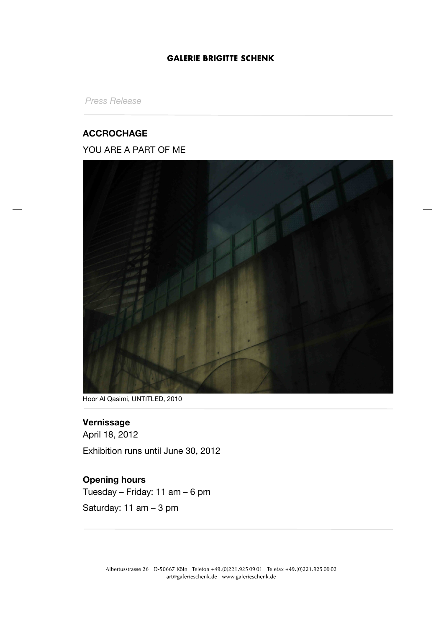#### **GALERIE BRIGITTE SCHENK**

*Press Release*

#### **ACCROCHAGE**

### YOU ARE A PART OF ME



Hoor Al Qasimi, UNTITLED, 2010

# **Vernissage**

April 18, 2012 Exhibition runs until June 30, 2012

# **Opening hours**

Tuesday – Friday: 11 am – 6 pm

Saturday: 11 am – 3 pm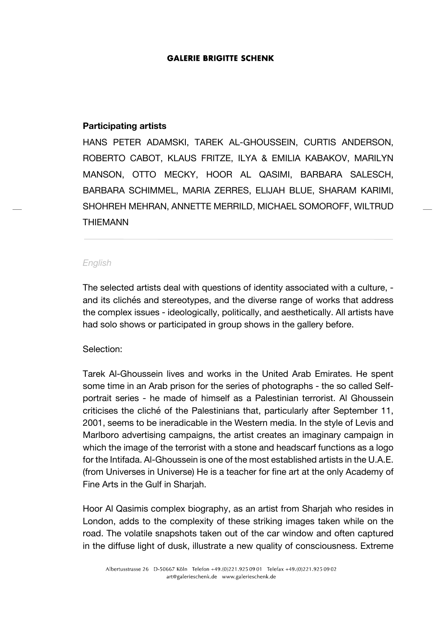#### **GALERIE BRIGITTE SCHENK**

#### **Participating artists**

HANS PETER ADAMSKI, TAREK AL-GHOUSSEIN, CURTIS ANDERSON, ROBERTO CABOT, KLAUS FRITZE, ILYA & EMILIA KABAKOV, MARILYN MANSON, OTTO MECKY, HOOR AL QASIMI, BARBARA SALESCH, BARBARA SCHIMMEL, MARIA ZERRES, ELIJAH BLUE, SHARAM KARIMI, SHOHREH MEHRAN, ANNETTE MERRILD, MICHAEL SOMOROFF, WILTRUD THIEMANN

#### *English*

The selected artists deal with questions of identity associated with a culture, and its clichés and stereotypes, and the diverse range of works that address the complex issues - ideologically, politically, and aesthetically. All artists have had solo shows or participated in group shows in the gallery before.

### Selection:

Tarek Al-Ghoussein lives and works in the United Arab Emirates. He spent some time in an Arab prison for the series of photographs - the so called Selfportrait series - he made of himself as a Palestinian terrorist. Al Ghoussein criticises the cliché of the Palestinians that, particularly after September 11, 2001, seems to be ineradicable in the Western media. In the style of Levis and Marlboro advertising campaigns, the artist creates an imaginary campaign in which the image of the terrorist with a stone and headscarf functions as a logo for the Intifada. Al-Ghoussein is one of the most established artists in the U.A.E. (from Universes in Universe) He is a teacher for fine art at the only Academy of Fine Arts in the Gulf in Sharjah.

Hoor Al Qasimis complex biography, as an artist from Sharjah who resides in London, adds to the complexity of these striking images taken while on the road. The volatile snapshots taken out of the car window and often captured in the diffuse light of dusk, illustrate a new quality of consciousness. Extreme